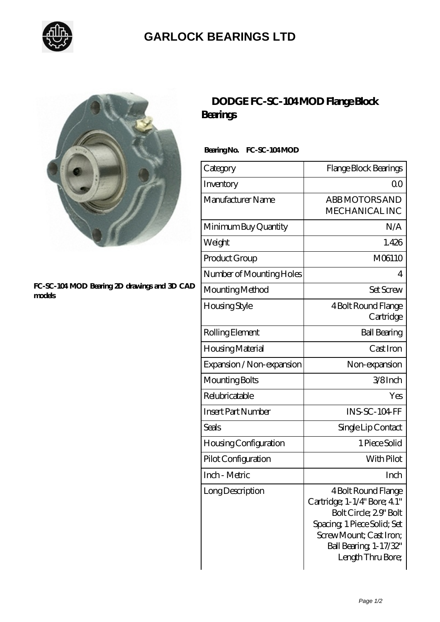

## **[GARLOCK BEARINGS LTD](https://m.letterstopriests.com)**



#### **[FC-SC-104 MOD Bearing 2D drawings and 3D CAD](https://m.letterstopriests.com/pic-188871.html) [models](https://m.letterstopriests.com/pic-188871.html)**

## **[DODGE FC-SC-104 MOD Flange Block](https://m.letterstopriests.com/bz-188871-dodge-fc-sc-104-mod-flange-block-bearings.html) [Bearings](https://m.letterstopriests.com/bz-188871-dodge-fc-sc-104-mod-flange-block-bearings.html)**

### Bearing No. FC-SC-104 MOD

| Category                     | Flange Block Bearings                                                                                                                                                                 |
|------------------------------|---------------------------------------------------------------------------------------------------------------------------------------------------------------------------------------|
| Inventory                    | 0 <sup>0</sup>                                                                                                                                                                        |
| Manufacturer Name            | <b>ABB MOTORS AND</b><br><b>MECHANICALINC</b>                                                                                                                                         |
| Minimum Buy Quantity         | N/A                                                                                                                                                                                   |
| Weight                       | 1.426                                                                                                                                                                                 |
| Product Group                | M06110                                                                                                                                                                                |
| Number of Mounting Holes     | 4                                                                                                                                                                                     |
| Mounting Method              | Set Screw                                                                                                                                                                             |
| Housing Style                | 4 Bolt Round Flange<br>Cartridge                                                                                                                                                      |
| Rolling Element              | <b>Ball Bearing</b>                                                                                                                                                                   |
| Housing Material             | Cast Iron                                                                                                                                                                             |
| Expansion / Non-expansion    | Non-expansion                                                                                                                                                                         |
| Mounting Bolts               | 3/8Inch                                                                                                                                                                               |
| Relubricatable               | Yes                                                                                                                                                                                   |
| <b>Insert Part Number</b>    | <b>INS-SC-104 FF</b>                                                                                                                                                                  |
| Seals                        | Single Lip Contact                                                                                                                                                                    |
| <b>Housing Configuration</b> | 1 Piece Solid                                                                                                                                                                         |
| Pilot Configuration          | With Pilot                                                                                                                                                                            |
| Inch - Metric                | Inch                                                                                                                                                                                  |
| Long Description             | 4 Bolt Round Flange<br>Cartridge; 1-1/4" Bore; 4.1"<br>Bolt Circle; 29' Bolt<br>Spacing, 1 Piece Solid; Set<br>Screw Mount; Cast Iron;<br>Ball Bearing, 1-17/32"<br>Length Thru Bore; |